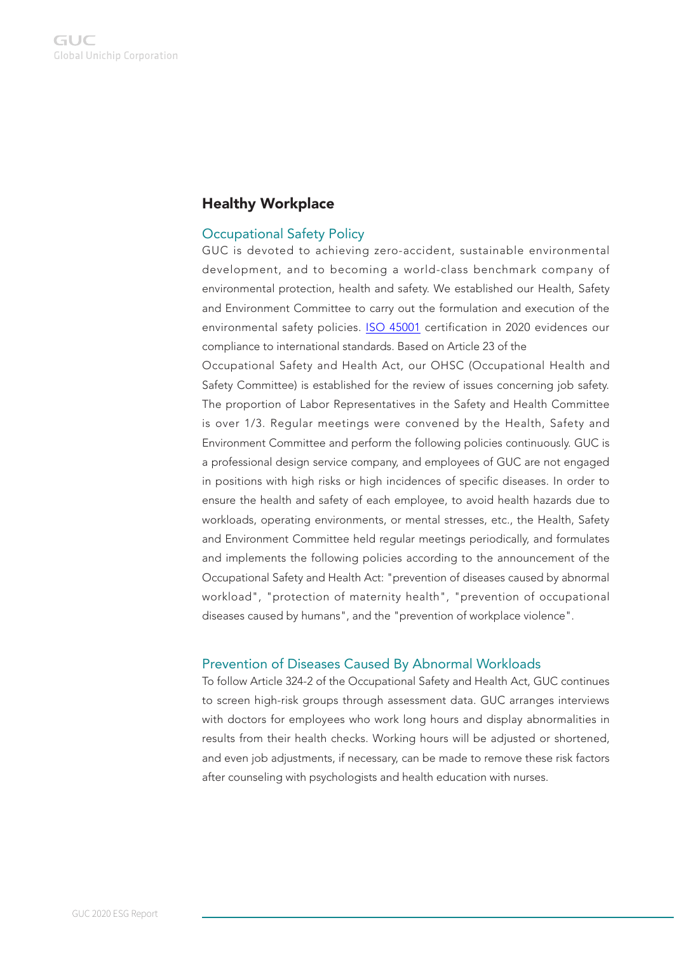# Healthy Workplace

## Occupational Safety Policy

GUC is devoted to achieving zero-accident, sustainable environmental development, and to becoming a world-class benchmark company of environmental protection, health and safety. We established our Health, Safety and Environment Committee to carry out the formulation and execution of the environmental safety policies. [ISO 45001](https://guc-asic.com/en/download/GUC_ISO_45001.pdf) certification in 2020 evidences our compliance to international standards. Based on Article 23 of the

Occupational Safety and Health Act, our OHSC (Occupational Health and Safety Committee) is established for the review of issues concerning job safety. The proportion of Labor Representatives in the Safety and Health Committee is over 1/3. Regular meetings were convened by the Health, Safety and Environment Committee and perform the following policies continuously. GUC is a professional design service company, and employees of GUC are not engaged in positions with high risks or high incidences of specific diseases. In order to ensure the health and safety of each employee, to avoid health hazards due to workloads, operating environments, or mental stresses, etc., the Health, Safety and Environment Committee held regular meetings periodically, and formulates and implements the following policies according to the announcement of the Occupational Safety and Health Act: "prevention of diseases caused by abnormal workload", "protection of maternity health", "prevention of occupational diseases caused by humans", and the "prevention of workplace violence".

#### Prevention of Diseases Caused By Abnormal Workloads

To follow Article 324-2 of the Occupational Safety and Health Act, GUC continues to screen high-risk groups through assessment data. GUC arranges interviews with doctors for employees who work long hours and display abnormalities in results from their health checks. Working hours will be adjusted or shortened, and even job adjustments, if necessary, can be made to remove these risk factors after counseling with psychologists and health education with nurses.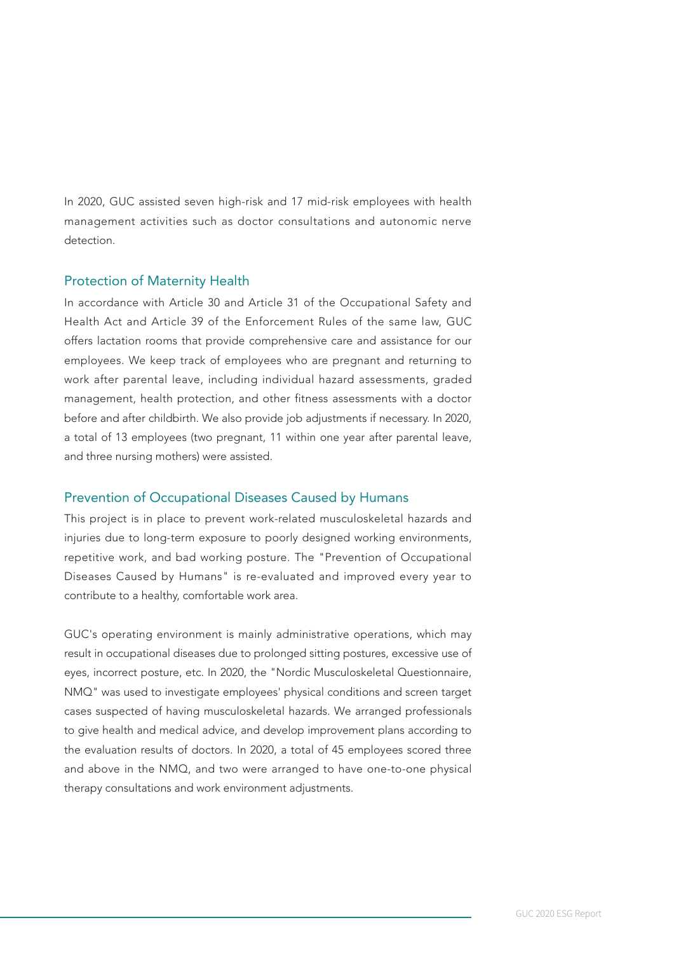In 2020, GUC assisted seven high-risk and 17 mid-risk employees with health management activities such as doctor consultations and autonomic nerve detection.

## Protection of Maternity Health

In accordance with Article 30 and Article 31 of the Occupational Safety and Health Act and Article 39 of the Enforcement Rules of the same law, GUC offers lactation rooms that provide comprehensive care and assistance for our employees. We keep track of employees who are pregnant and returning to work after parental leave, including individual hazard assessments, graded management, health protection, and other fitness assessments with a doctor before and after childbirth. We also provide job adjustments if necessary. In 2020, a total of 13 employees (two pregnant, 11 within one year after parental leave, and three nursing mothers) were assisted.

#### Prevention of Occupational Diseases Caused by Humans

This project is in place to prevent work-related musculoskeletal hazards and injuries due to long-term exposure to poorly designed working environments, repetitive work, and bad working posture. The "Prevention of Occupational Diseases Caused by Humans" is re-evaluated and improved every year to contribute to a healthy, comfortable work area.

GUC's operating environment is mainly administrative operations, which may result in occupational diseases due to prolonged sitting postures, excessive use of eyes, incorrect posture, etc. In 2020, the "Nordic Musculoskeletal Questionnaire, NMQ" was used to investigate employees' physical conditions and screen target cases suspected of having musculoskeletal hazards. We arranged professionals to give health and medical advice, and develop improvement plans according to the evaluation results of doctors. In 2020, a total of 45 employees scored three and above in the NMQ, and two were arranged to have one-to-one physical therapy consultations and work environment adjustments.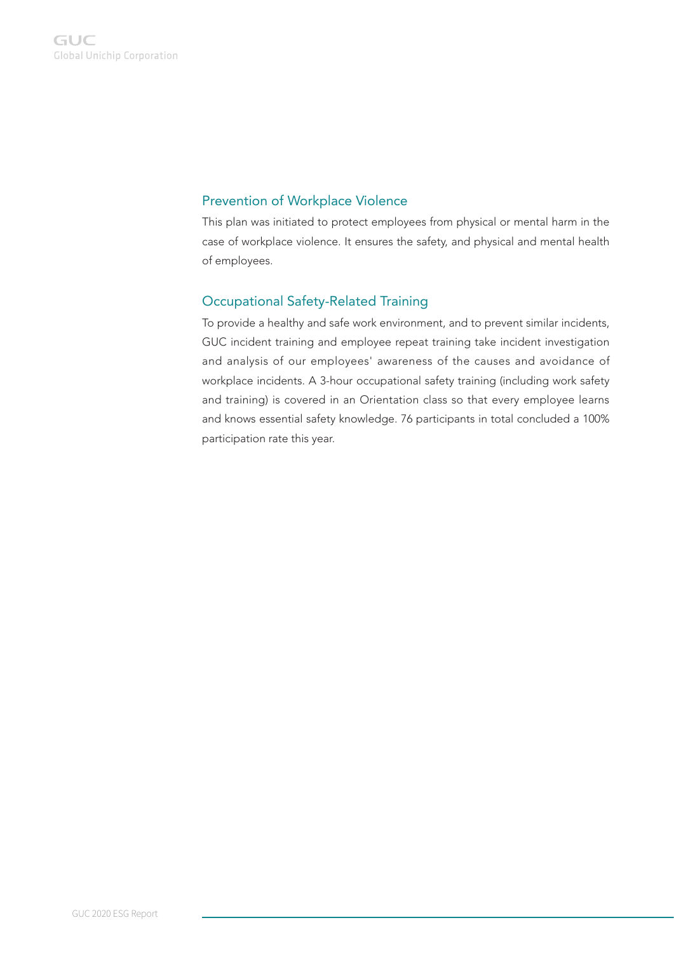## Prevention of Workplace Violence

This plan was initiated to protect employees from physical or mental harm in the case of workplace violence. It ensures the safety, and physical and mental health of employees.

## Occupational Safety-Related Training

To provide a healthy and safe work environment, and to prevent similar incidents, GUC incident training and employee repeat training take incident investigation and analysis of our employees' awareness of the causes and avoidance of workplace incidents. A 3-hour occupational safety training (including work safety and training) is covered in an Orientation class so that every employee learns and knows essential safety knowledge. 76 participants in total concluded a 100% participation rate this year.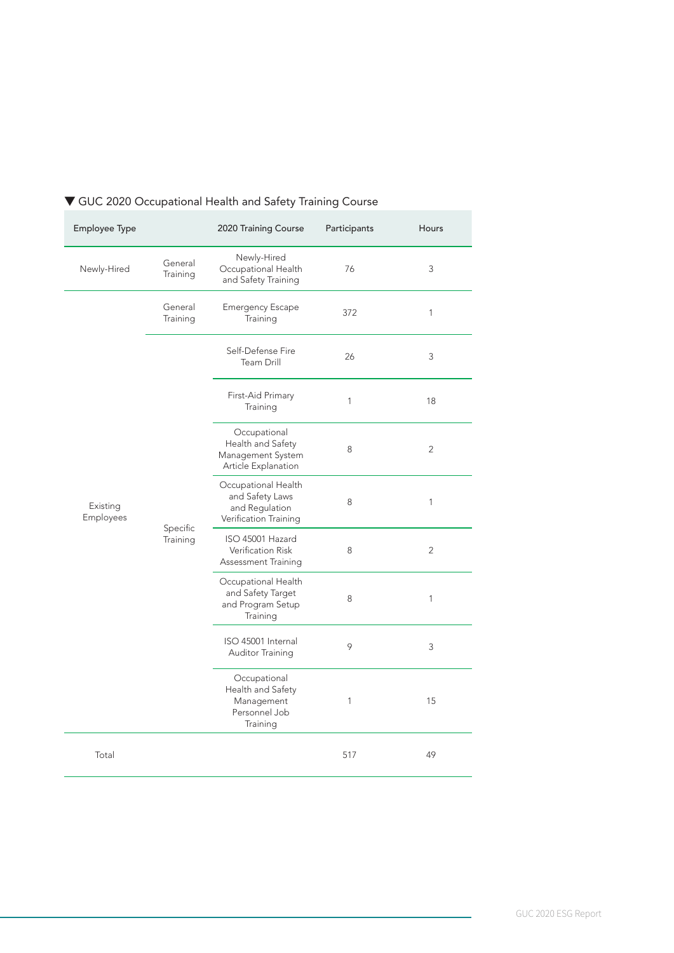| Employee Type                |                      | 2020 Training Course                                                              | Participants | <b>Hours</b>   |
|------------------------------|----------------------|-----------------------------------------------------------------------------------|--------------|----------------|
| Newly-Hired                  | General<br>Training  | Newly-Hired<br>Occupational Health<br>and Safety Training                         | 76           | 3              |
| Existing<br><b>Employees</b> | General<br>Training  | <b>Emergency Escape</b><br>Training                                               | 372          | 1              |
|                              | Specific<br>Training | Self-Defense Fire<br>Team Drill                                                   | 26           | 3              |
|                              |                      | First-Aid Primary<br>Training                                                     | $\mathbf{1}$ | 18             |
|                              |                      | Occupational<br>Health and Safety<br>Management System<br>Article Explanation     | 8            | $\overline{2}$ |
|                              |                      | Occupational Health<br>and Safety Laws<br>and Regulation<br>Verification Training | 8            | 1              |
|                              |                      | ISO 45001 Hazard<br>Verification Risk<br>Assessment Training                      | 8            | $\overline{2}$ |
|                              |                      | Occupational Health<br>and Safety Target<br>and Program Setup<br>Training         | 8            | 1              |
|                              |                      | ISO 45001 Internal<br>Auditor Training                                            | 9            | 3              |
|                              |                      | Occupational<br>Health and Safety<br>Management<br>Personnel Job<br>Training      | 1            | 15             |
| Total                        |                      |                                                                                   | 517          | 49             |

# ▼ GUC 2020 Occupational Health and Safety Training Course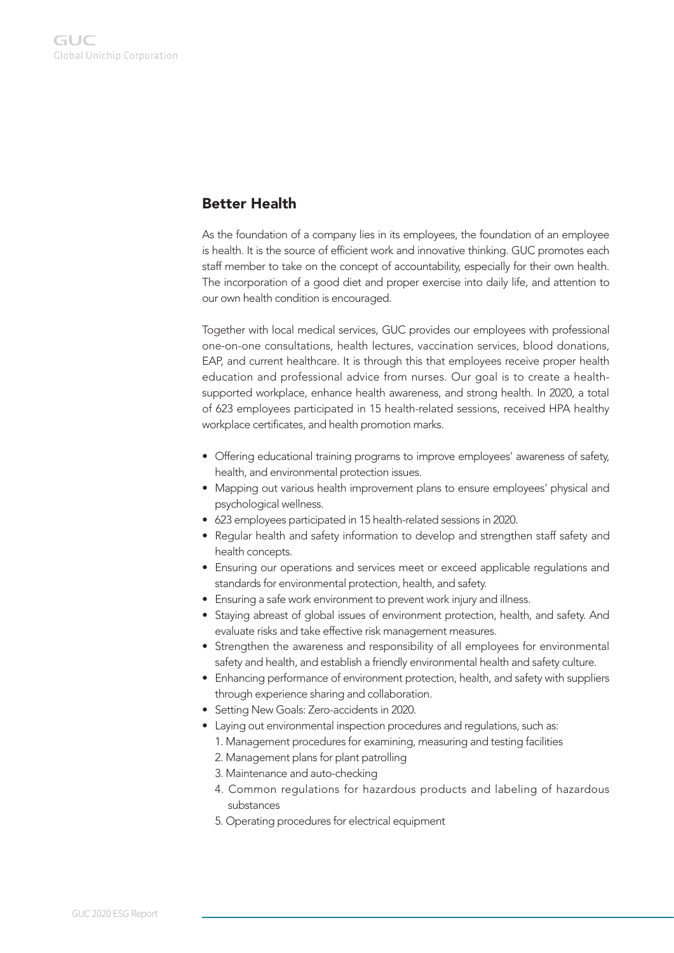# Better Health

As the foundation of a company lies in its employees, the foundation of an employee is health. It is the source of efficient work and innovative thinking. GUC promotes each staff member to take on the concept of accountability, especially for their own health. The incorporation of a good diet and proper exercise into daily life, and attention to our own health condition is encouraged.

Together with local medical services, GUC provides our employees with professional one-on-one consultations, health lectures, vaccination services, blood donations, EAP, and current healthcare. It is through this that employees receive proper health education and professional advice from nurses. Our goal is to create a healthsupported workplace, enhance health awareness, and strong health. In 2020, a total of 623 employees participated in 15 health-related sessions, received HPA healthy workplace certificates, and health promotion marks.

- Offering educational training programs to improve employees' awareness of safety, health, and environmental protection issues.
- Mapping out various health improvement plans to ensure employees' physical and psychological wellness.
- 623 employees participated in 15 health-related sessions in 2020.
- Regular health and safety information to develop and strengthen staff safety and health concepts.
- Ensuring our operations and services meet or exceed applicable regulations and standards for environmental protection, health, and safety.
- Ensuring a safe work environment to prevent work injury and illness.
- Staying abreast of global issues of environment protection, health, and safety. And evaluate risks and take effective risk management measures.
- Strengthen the awareness and responsibility of all employees for environmental safety and health, and establish a friendly environmental health and safety culture.
- Enhancing performance of environment protection, health, and safety with suppliers through experience sharing and collaboration.
- Setting New Goals: Zero-accidents in 2020.
- Laying out environmental inspection procedures and regulations, such as:
	- 1. Management procedures for examining, measuring and testing facilities
	- 2. Management plans for plant patrolling
	- 3. Maintenance and auto-checking
	- 4. Common regulations for hazardous products and labeling of hazardous substances
	- 5. Operating procedures for electrical equipment